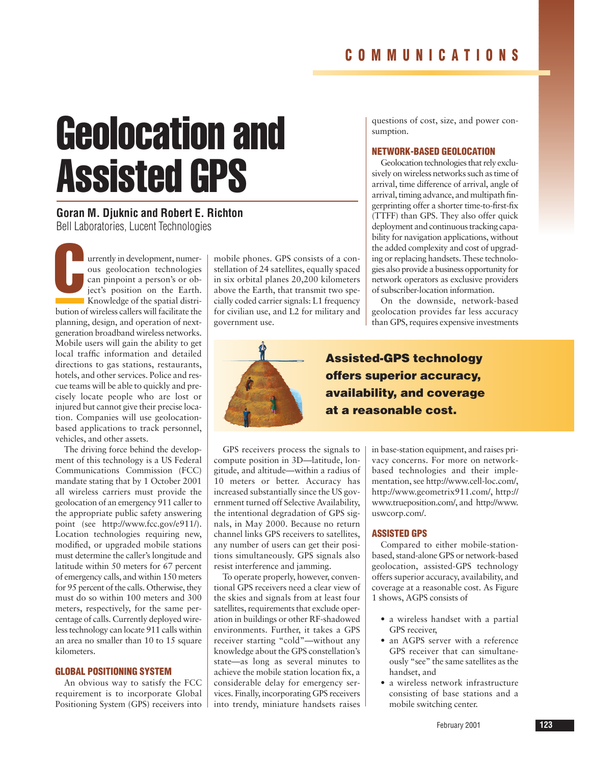sumption.

questions of cost, size, and power con-

Geolocation technologies that rely exclusively on wireless networks such as time of arrival, time difference of arrival, angle of arrival, timing advance, and multipath fingerprinting offer a shorter time-to-first-fix (TTFF) than GPS. They also offer quick deployment and continuous tracking capability for navigation applications, without the added complexity and cost of upgrading or replacing handsets. These technologies also provide a business opportunity for network operators as exclusive providers of subscriber-location information.

On the downside, network-based geolocation provides far less accuracy than GPS, requires expensive investments

**NETWORK-BASED GEOLOCATION**

# Geolocation and Assisted GPS

### **Goran M. Djuknic and Robert E. Richton** Bell Laboratories, Lucent Technologies

urrently in development, numerous geolocation technologies can pinpoint a person's or object's position on the Earth. Knowledge of the spatial distribution of wireless callers will facilitate the planning, design, and operation of nextgeneration broadband wireless networks. Mobile users will gain the ability to get local traffic information and detailed directions to gas stations, restaurants, hotels, and other services. Police and rescue teams will be able to quickly and precisely locate people who are lost or injured but cannot give their precise location. Companies will use geolocationbased applications to track personnel, vehicles, and other assets.

The driving force behind the development of this technology is a US Federal Communications Commission (FCC) mandate stating that by 1 October 2001 all wireless carriers must provide the geolocation of an emergency 911 caller to the appropriate public safety answering point (see http://www.fcc.gov/e911/). Location technologies requiring new, modified, or upgraded mobile stations must determine the caller's longitude and latitude within 50 meters for 67 percent of emergency calls, and within 150 meters for 95 percent of the calls. Otherwise, they must do so within 100 meters and 300 meters, respectively, for the same percentage of calls. Currently deployed wireless technology can locate 911 calls within an area no smaller than 10 to 15 square kilometers.

#### **GLOBAL POSITIONING SYSTEM**

An obvious way to satisfy the FCC requirement is to incorporate Global Positioning System (GPS) receivers into mobile phones. GPS consists of a constellation of 24 satellites, equally spaced in six orbital planes 20,200 kilometers above the Earth, that transmit two specially coded carrier signals: L1 frequency for civilian use, and L2 for military and government use.



## **Assisted-GPS technology offers superior accuracy, availability, and coverage at a reasonable cost.**

GPS receivers process the signals to compute position in 3D—latitude, longitude, and altitude—within a radius of 10 meters or better. Accuracy has increased substantially since the US government turned off Selective Availability, the intentional degradation of GPS signals, in May 2000. Because no return channel links GPS receivers to satellites, any number of users can get their positions simultaneously. GPS signals also resist interference and jamming.

To operate properly, however, conventional GPS receivers need a clear view of the skies and signals from at least four satellites, requirements that exclude operation in buildings or other RF-shadowed environments. Further, it takes a GPS receiver starting "cold"—without any knowledge about the GPS constellation's state—as long as several minutes to achieve the mobile station location fix, a considerable delay for emergency services. Finally, incorporating GPS receivers into trendy, miniature handsets raises in base-station equipment, and raises privacy concerns. For more on networkbased technologies and their implementation, see http://www.cell-loc.com/, http://www.geometrix911.com/, http:// www.trueposition.com/, and http://www. uswcorp.com/.

#### **ASSISTED GPS**

Compared to either mobile-stationbased, stand-alone GPS or network-based geolocation, assisted-GPS technology offers superior accuracy, availability, and coverage at a reasonable cost. As Figure 1 shows, AGPS consists of

- a wireless handset with a partial GPS receiver,
- an AGPS server with a reference GPS receiver that can simultaneously "see" the same satellites as the handset, and
- a wireless network infrastructure consisting of base stations and a mobile switching center.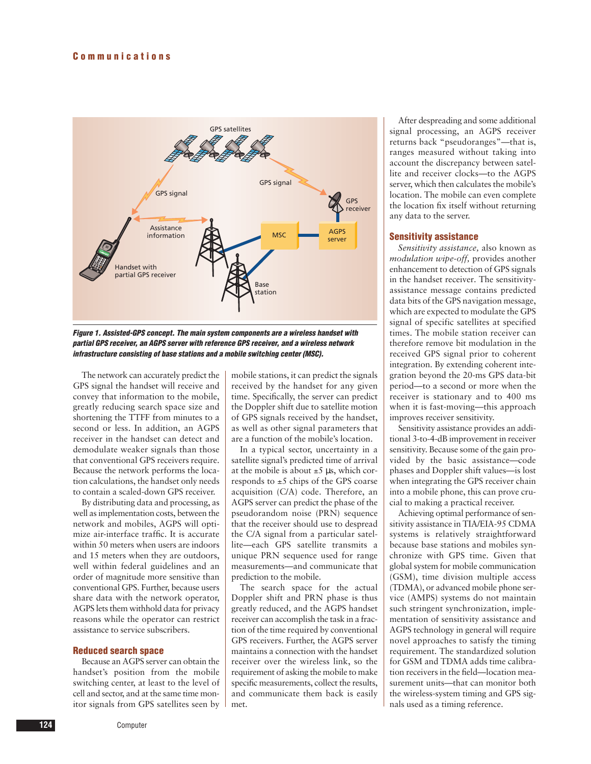

*Figure 1. Assisted-GPS concept. The main system components are a wireless handset with partial GPS receiver, an AGPS server with reference GPS receiver, and a wireless network infrastructure consisting of base stations and a mobile switching center (MSC).*

The network can accurately predict the GPS signal the handset will receive and convey that information to the mobile, greatly reducing search space size and shortening the TTFF from minutes to a second or less. In addition, an AGPS receiver in the handset can detect and demodulate weaker signals than those that conventional GPS receivers require. Because the network performs the location calculations, the handset only needs to contain a scaled-down GPS receiver.

By distributing data and processing, as well as implementation costs, between the network and mobiles, AGPS will optimize air-interface traffic. It is accurate within 50 meters when users are indoors and 15 meters when they are outdoors, well within federal guidelines and an order of magnitude more sensitive than conventional GPS. Further, because users share data with the network operator, AGPS lets them withhold data for privacy reasons while the operator can restrict assistance to service subscribers.

#### **Reduced search space**

Because an AGPS server can obtain the handset's position from the mobile switching center, at least to the level of cell and sector, and at the same time monitor signals from GPS satellites seen by

mobile stations, it can predict the signals received by the handset for any given time. Specifically, the server can predict the Doppler shift due to satellite motion of GPS signals received by the handset, as well as other signal parameters that are a function of the mobile's location.

In a typical sector, uncertainty in a satellite signal's predicted time of arrival at the mobile is about  $\pm 5$  µs, which corresponds to  $\pm$ 5 chips of the GPS coarse acquisition (C/A) code. Therefore, an AGPS server can predict the phase of the pseudorandom noise (PRN) sequence that the receiver should use to despread the C/A signal from a particular satellite—each GPS satellite transmits a unique PRN sequence used for range measurements—and communicate that prediction to the mobile.

The search space for the actual Doppler shift and PRN phase is thus greatly reduced, and the AGPS handset receiver can accomplish the task in a fraction of the time required by conventional GPS receivers. Further, the AGPS server maintains a connection with the handset receiver over the wireless link, so the requirement of asking the mobile to make specific measurements, collect the results, and communicate them back is easily met.

After despreading and some additional signal processing, an AGPS receiver returns back "pseudoranges"—that is, ranges measured without taking into account the discrepancy between satellite and receiver clocks—to the AGPS server, which then calculates the mobile's location. The mobile can even complete the location fix itself without returning any data to the server.

#### **Sensitivity assistance**

*Sensitivity assistance,* also known as *modulation wipe-off,* provides another enhancement to detection of GPS signals in the handset receiver*.* The sensitivityassistance message contains predicted data bits of the GPS navigation message, which are expected to modulate the GPS signal of specific satellites at specified times. The mobile station receiver can therefore remove bit modulation in the received GPS signal prior to coherent integration. By extending coherent integration beyond the 20-ms GPS data-bit period—to a second or more when the receiver is stationary and to 400 ms when it is fast-moving—this approach improves receiver sensitivity.

Sensitivity assistance provides an additional 3-to-4-dB improvement in receiver sensitivity. Because some of the gain provided by the basic assistance—code phases and Doppler shift values—is lost when integrating the GPS receiver chain into a mobile phone, this can prove crucial to making a practical receiver.

Achieving optimal performance of sensitivity assistance in TIA/EIA-95 CDMA systems is relatively straightforward because base stations and mobiles synchronize with GPS time. Given that global system for mobile communication (GSM), time division multiple access (TDMA), or advanced mobile phone service (AMPS) systems do not maintain such stringent synchronization, implementation of sensitivity assistance and AGPS technology in general will require novel approaches to satisfy the timing requirement. The standardized solution for GSM and TDMA adds time calibration receivers in the field—location measurement units—that can monitor both the wireless-system timing and GPS signals used as a timing reference.